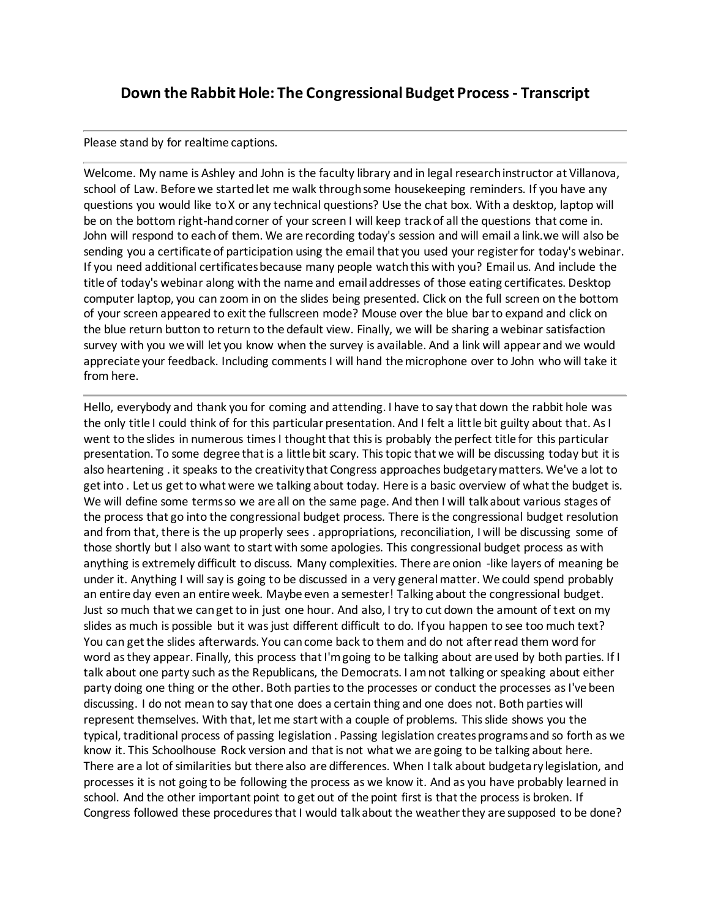## **Down the Rabbit Hole: The Congressional Budget Process- Transcript**

## Please stand by for realtime captions.

Welcome. My name is Ashley and John is the faculty library and in legal research instructor at Villanova, school of Law. Before we started let me walk through some housekeeping reminders. If you have any questions you would like to X or any technical questions? Use the chat box. With a desktop, laptop will be on the bottom right-hand corner of your screen I will keep track of all the questions that come in. John will respond to each of them. We are recording today's session and will email a link.we will also be sending you a certificate of participation using the email that you used your register for today's webinar. If you need additional certificates because many people watch this with you? Email us. And include the title of today's webinar along with the name and email addresses of those eating certificates. Desktop computer laptop, you can zoom in on the slides being presented. Click on the full screen on the bottom of your screen appeared to exit the fullscreen mode? Mouse over the blue bar to expand and click on the blue return button to return to the default view. Finally, we will be sharing a webinar satisfaction survey with you we will let you know when the survey is available. And a link will appear and we would appreciate your feedback. Including comments I will hand the microphone over to John who will take it from here.

Hello, everybody and thank you for coming and attending. I have to say that down the rabbit hole was the only title I could think of for this particular presentation. And I felt a little bit guilty about that. As I went to the slides in numerous times I thought that this is probably the perfect title for this particular presentation. To some degree that is a little bit scary. This topic that we will be discussing today but it is also heartening . it speaks to the creativity that Congress approaches budgetary matters. We've a lot to get into . Let us get to what were we talking about today. Here is a basic overview of what the budget is. We will define some terms so we are all on the same page. And then I will talk about various stages of the process that go into the congressional budget process. There is the congressional budget resolution and from that, there is the up properly sees . appropriations, reconciliation, I will be discussing some of those shortly but I also want to start with some apologies. This congressional budget process as with anything is extremely difficult to discuss. Many complexities. There are onion -like layers of meaning be under it. Anything I will say is going to be discussed in a very general matter. We could spend probably an entire day even an entire week. Maybe even a semester! Talking about the congressional budget. Just so much that we can get to in just one hour. And also, I try to cut down the amount of text on my slides as much is possible but it was just different difficult to do. If you happen to see too much text? You can get the slides afterwards. You can come back to them and do not after read them word for word as they appear. Finally, this process that I'm going to be talking about are used by both parties. If I talk about one party such as the Republicans, the Democrats. I am not talking or speaking about either party doing one thing or the other. Both parties to the processes or conduct the processes as I've been discussing. I do not mean to say that one does a certain thing and one does not. Both parties will represent themselves. With that, let me start with a couple of problems. This slide shows you the typical, traditional process of passing legislation . Passing legislation creates programs and so forth as we know it. This Schoolhouse Rock version and that is not what we are going to be talking about here. There are a lot of similarities but there also are differences. When I talk about budgetary legislation, and processes it is not going to be following the process as we know it. And as you have probably learned in school. And the other important point to get out of the point first is that the process is broken. If Congress followed these procedures that I would talk about the weather they are supposed to be done?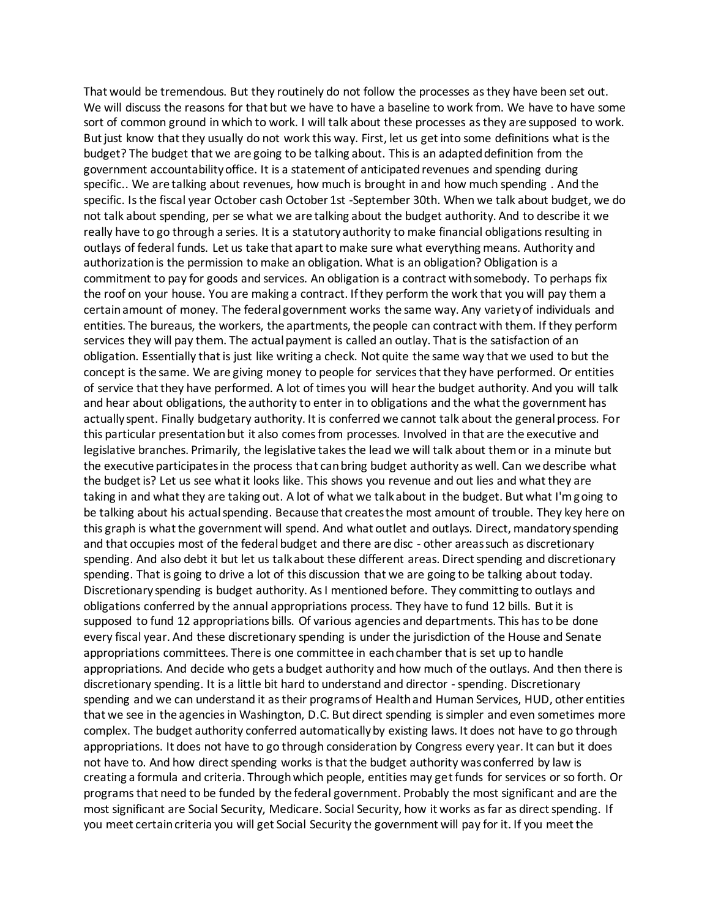That would be tremendous. But they routinely do not follow the processes as they have been set out. We will discuss the reasons for that but we have to have a baseline to work from. We have to have some sort of common ground in which to work. I will talk about these processes as they are supposed to work. But just know that they usually do not work this way. First, let us get into some definitions what is the budget? The budget that we are going to be talking about. This is an adapted definition from the government accountability office. It is a statement of anticipated revenues and spending during specific.. We are talking about revenues, how much is brought in and how much spending . And the specific. Is the fiscal year October cash October 1st -September 30th. When we talk about budget, we do not talk about spending, per se what we are talking about the budget authority. And to describe it we really have to go through a series. It is a statutory authority to make financial obligations resulting in outlays of federal funds. Let us take that apart to make sure what everything means. Authority and authorization is the permission to make an obligation. What is an obligation? Obligation is a commitment to pay for goods and services. An obligation is a contract with somebody. To perhaps fix the roof on your house. You are making a contract. If they perform the work that you will pay them a certain amount of money. The federal government works the same way. Any variety of individuals and entities. The bureaus, the workers, the apartments, the people can contract with them. If they perform services they will pay them. The actual payment is called an outlay. That is the satisfaction of an obligation. Essentially that is just like writing a check. Not quite the same way that we used to but the concept is the same. We are giving money to people for services that they have performed. Or entities of service that they have performed. A lot of times you will hear the budget authority. And you will talk and hear about obligations, the authority to enter in to obligations and the what the government has actually spent. Finally budgetary authority. It is conferred we cannot talk about the general process. For this particular presentation but it also comes from processes. Involved in that are the executive and legislative branches. Primarily, the legislative takes the lead we will talk about them or in a minute but the executive participates in the process that can bring budget authority as well. Can we describe what the budget is? Let us see what it looks like. This shows you revenue and out lies and what they are taking in and what they are taking out. A lot of what we talk about in the budget. But what I'm going to be talking about his actual spending. Because that creates the most amount of trouble. They key here on this graph is what the government will spend. And what outlet and outlays. Direct, mandatory spending and that occupies most of the federal budget and there are disc - other areas such as discretionary spending. And also debt it but let us talk about these different areas. Direct spending and discretionary spending. That is going to drive a lot of this discussion that we are going to be talking about today. Discretionary spending is budget authority. As I mentioned before. They committing to outlays and obligations conferred by the annual appropriations process. They have to fund 12 bills. But it is supposed to fund 12 appropriations bills. Of various agencies and departments. This has to be done every fiscal year. And these discretionary spending is under the jurisdiction of the House and Senate appropriations committees. There is one committee in each chamber that is set up to handle appropriations. And decide who gets a budget authority and how much of the outlays. And then there is discretionary spending. It is a little bit hard to understand and director - spending. Discretionary spending and we can understand it as their programs of Health and Human Services, HUD, other entities that we see in the agencies in Washington, D.C. But direct spending is simpler and even sometimes more complex. The budget authority conferred automatically by existing laws. It does not have to go through appropriations. It does not have to go through consideration by Congress every year. It can but it does not have to. And how direct spending works is that the budget authority was conferred by law is creating a formula and criteria. Through which people, entities may get funds for services or so forth. Or programs that need to be funded by the federal government. Probably the most significant and are the most significant are Social Security, Medicare. Social Security, how it works as far as direct spending. If you meet certain criteria you will get Social Security the government will pay for it. If you meet the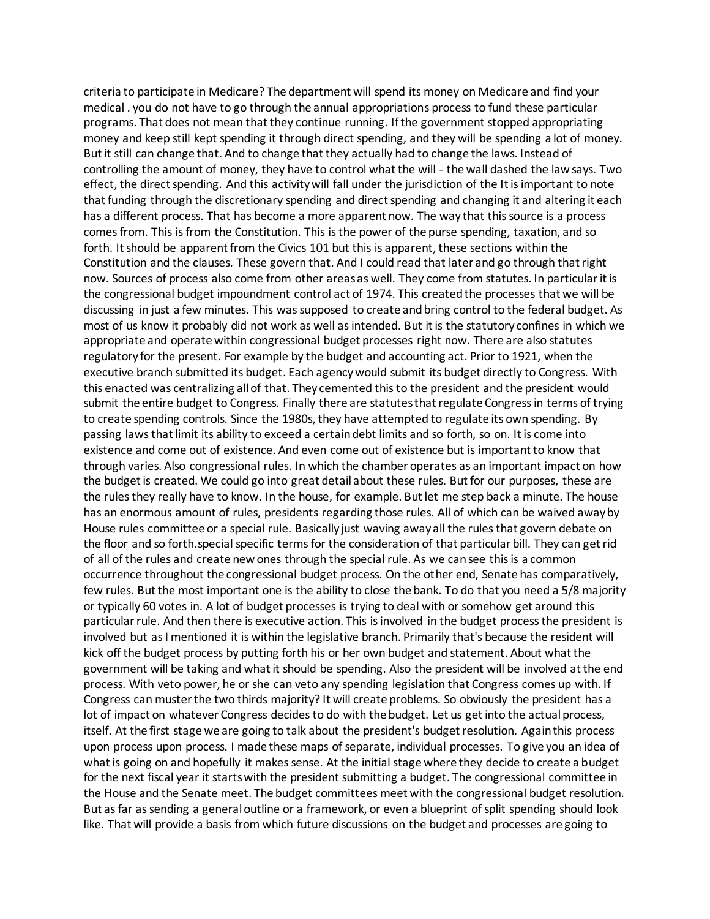criteria to participate in Medicare? The department will spend its money on Medicare and find your medical . you do not have to go through the annual appropriations process to fund these particular programs. That does not mean that they continue running. If the government stopped appropriating money and keep still kept spending it through direct spending, and they will be spending a lot of money. But it still can change that. And to change that they actually had to change the laws. Instead of controlling the amount of money, they have to control what the will - the wall dashed the law says. Two effect, the direct spending. And this activity will fall under the jurisdiction of the It is important to note that funding through the discretionary spending and direct spending and changing it and altering it each has a different process. That has become a more apparent now. The way that this source is a process comes from. This is from the Constitution. This is the power of the purse spending, taxation, and so forth. It should be apparent from the Civics 101 but this is apparent, these sections within the Constitution and the clauses. These govern that. And I could read that later and go through that right now. Sources of process also come from other areas as well. They come from statutes. In particular it is the congressional budget impoundment control act of 1974. This created the processes that we will be discussing in just a few minutes. This was supposed to create and bring control to the federal budget. As most of us know it probably did not work as well as intended. But it is the statutory confines in which we appropriate and operate within congressional budget processes right now. There are also statutes regulatory for the present. For example by the budget and accounting act. Prior to 1921, when the executive branch submitted its budget. Each agency would submit its budget directly to Congress. With this enacted was centralizing all of that. They cemented this to the president and the president would submit the entire budget to Congress. Finally there are statutes that regulate Congress in terms of trying to create spending controls. Since the 1980s, they have attempted to regulate its own spending. By passing laws that limit its ability to exceed a certain debt limits and so forth, so on. It is come into existence and come out of existence. And even come out of existence but is important to know that through varies. Also congressional rules. In which the chamber operates as an important impact on how the budget is created. We could go into great detail about these rules. But for our purposes, these are the rules they really have to know. In the house, for example. But let me step back a minute. The house has an enormous amount of rules, presidents regarding those rules. All of which can be waived away by House rules committee or a special rule. Basically just waving away all the rules that govern debate on the floor and so forth.special specific terms for the consideration of that particular bill. They can get rid of all of the rules and create new ones through the special rule. As we can see this is a common occurrence throughout the congressional budget process. On the other end, Senate has comparatively, few rules. But the most important one is the ability to close the bank. To do that you need a 5/8 majority or typically 60 votes in. A lot of budget processes is trying to deal with or somehow get around this particular rule. And then there is executive action. This is involved in the budget process the president is involved but as I mentioned it is within the legislative branch. Primarily that's because the resident will kick off the budget process by putting forth his or her own budget and statement. About what the government will be taking and what it should be spending. Also the president will be involved at the end process. With veto power, he or she can veto any spending legislation that Congress comes up with. If Congress can muster the two thirds majority? It will create problems. So obviously the president has a lot of impact on whatever Congress decides to do with the budget. Let us get into the actual process, itself. At the first stage we are going to talk about the president's budget resolution. Again this process upon process upon process. I made these maps of separate, individual processes. To give you an idea of what is going on and hopefully it makes sense. At the initial stage where they decide to create a budget for the next fiscal year it starts with the president submitting a budget. The congressional committee in the House and the Senate meet. The budget committees meet with the congressional budget resolution. But as far as sending a general outline or a framework, or even a blueprint of split spending should look like. That will provide a basis from which future discussions on the budget and processes are going to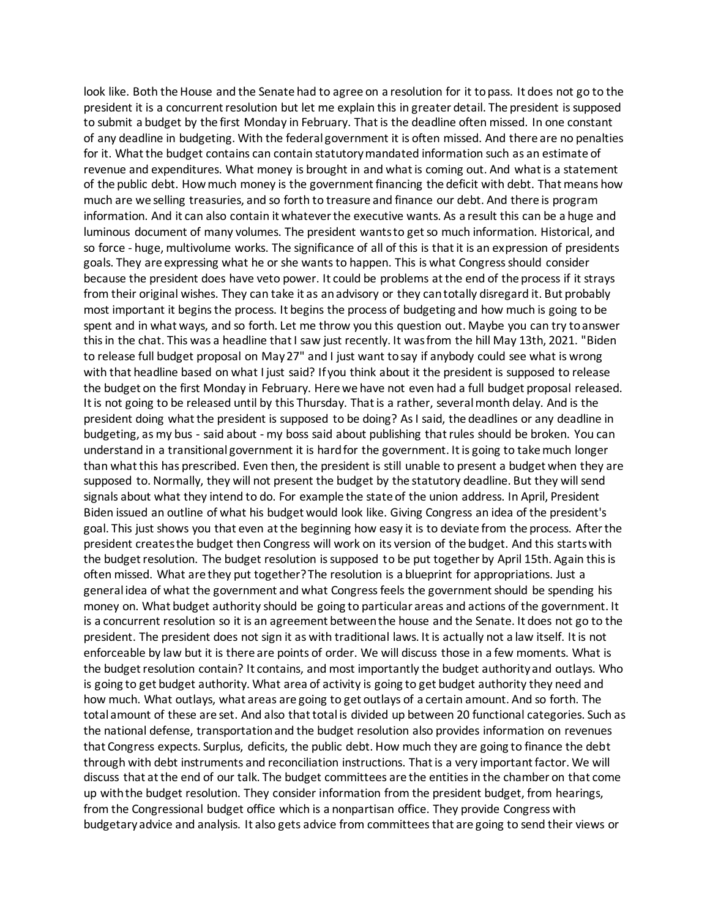look like. Both the House and the Senate had to agree on a resolution for it to pass. It does not go to the president it is a concurrent resolution but let me explain this in greater detail. The president is supposed to submit a budget by the first Monday in February. That is the deadline often missed. In one constant of any deadline in budgeting. With the federal government it is often missed. And there are no penalties for it. What the budget contains can contain statutory mandated information such as an estimate of revenue and expenditures. What money is brought in and what is coming out. And what is a statement of the public debt. How much money is the government financing the deficit with debt. That means how much are we selling treasuries, and so forth to treasure and finance our debt. And there is program information. And it can also contain it whatever the executive wants. As a result this can be a huge and luminous document of many volumes. The president wants to get so much information. Historical, and so force - huge, multivolume works. The significance of all of this is that it is an expression of presidents goals. They are expressing what he or she wants to happen. This is what Congress should consider because the president does have veto power. It could be problems at the end of the process if it strays from their original wishes. They can take it as an advisory or they can totally disregard it. But probably most important it begins the process. It begins the process of budgeting and how much is going to be spent and in what ways, and so forth. Let me throw you this question out. Maybe you can try to answer this in the chat. This was a headline that I saw just recently. It was from the hill May 13th, 2021. "Biden to release full budget proposal on May 27" and I just want to say if anybody could see what is wrong with that headline based on what I just said? If you think about it the president is supposed to release the budget on the first Monday in February. Here we have not even had a full budget proposal released. It is not going to be released until by this Thursday. That is a rather, several month delay. And is the president doing what the president is supposed to be doing? As I said, the deadlines or any deadline in budgeting, as my bus - said about - my boss said about publishing that rules should be broken. You can understand in a transitional government it is hard for the government. It is going to take much longer than what this has prescribed. Even then, the president is still unable to present a budget when they are supposed to. Normally, they will not present the budget by the statutory deadline. But they will send signals about what they intend to do. For example the state of the union address. In April, President Biden issued an outline of what his budget would look like. Giving Congress an idea of the president's goal. This just shows you that even at the beginning how easy it is to deviate from the process. After the president creates the budget then Congress will work on its version of the budget. And this starts with the budget resolution. The budget resolution is supposed to be put together by April 15th. Again this is often missed. What are they put together? The resolution is a blueprint for appropriations. Just a general idea of what the government and what Congress feels the government should be spending his money on. What budget authority should be going to particular areas and actions of the government. It is a concurrent resolution so it is an agreement between the house and the Senate. It does not go to the president. The president does not sign it as with traditional laws. It is actually not a law itself. It is not enforceable by law but it is there are points of order. We will discuss those in a few moments. What is the budget resolution contain? It contains, and most importantly the budget authority and outlays. Who is going to get budget authority. What area of activity is going to get budget authority they need and how much. What outlays, what areas are going to get outlays of a certain amount. And so forth. The total amount of these are set. And also that total is divided up between 20 functional categories. Such as the national defense, transportation and the budget resolution also provides information on revenues that Congress expects. Surplus, deficits, the public debt. How much they are going to finance the debt through with debt instruments and reconciliation instructions. That is a very important factor. We will discuss that at the end of our talk. The budget committees are the entities in the chamber on that come up with the budget resolution. They consider information from the president budget, from hearings, from the Congressional budget office which is a nonpartisan office. They provide Congress with budgetary advice and analysis. It also gets advice from committees that are going to send their views or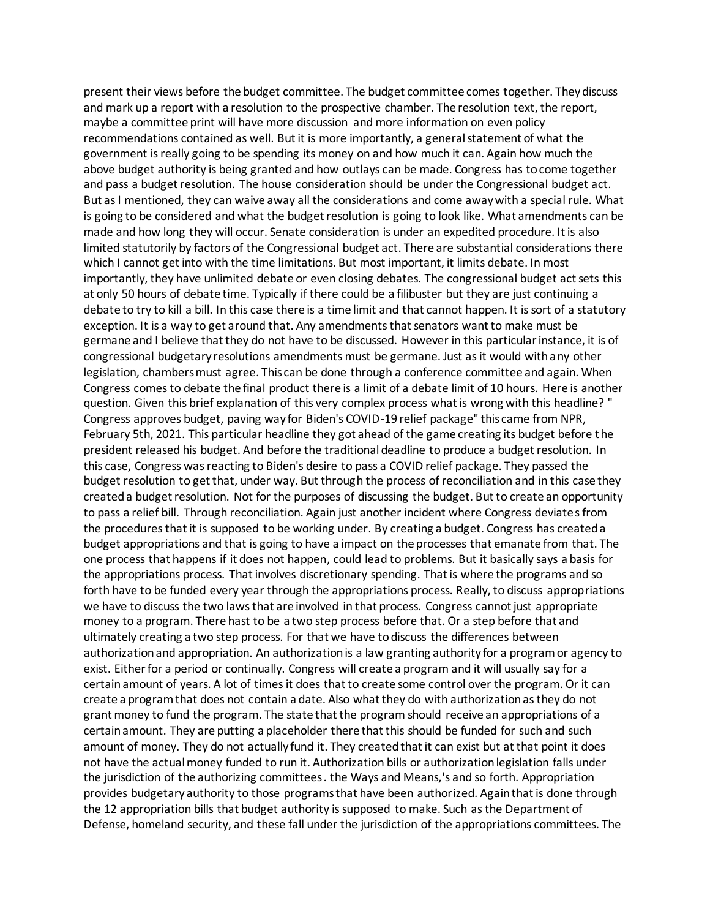present their views before the budget committee. The budget committee comes together. They discuss and mark up a report with a resolution to the prospective chamber. The resolution text, the report, maybe a committee print will have more discussion and more information on even policy recommendations contained as well. But it is more importantly, a general statement of what the government is really going to be spending its money on and how much it can. Again how much the above budget authority is being granted and how outlays can be made. Congress has to come together and pass a budget resolution. The house consideration should be under the Congressional budget act. But as I mentioned, they can waive away all the considerations and come away with a special rule. What is going to be considered and what the budget resolution is going to look like. What amendments can be made and how long they will occur. Senate consideration is under an expedited procedure. It is also limited statutorily by factors of the Congressional budget act. There are substantial considerations there which I cannot get into with the time limitations. But most important, it limits debate. In most importantly, they have unlimited debate or even closing debates. The congressional budget act sets this at only 50 hours of debate time. Typically if there could be a filibuster but they are just continuing a debate to try to kill a bill. In this case there is a time limit and that cannot happen. It is sort of a statutory exception. It is a way to get around that. Any amendments that senators want to make must be germane and I believe that they do not have to be discussed. However in this particular instance, it is of congressional budgetary resolutions amendments must be germane. Just as it would with any other legislation, chambers must agree. This can be done through a conference committee and again. When Congress comes to debate the final product there is a limit of a debate limit of 10 hours. Here is another question. Given this brief explanation of this very complex process what is wrong with this headline? " Congress approves budget, paving way for Biden's COVID-19 relief package" this came from NPR, February 5th, 2021. This particular headline they got ahead of the game creating its budget before the president released his budget. And before the traditional deadline to produce a budget resolution. In this case, Congress was reacting to Biden's desire to pass a COVID relief package. They passed the budget resolution to get that, under way. But through the process of reconciliation and in this case they created a budget resolution. Not for the purposes of discussing the budget. But to create an opportunity to pass a relief bill. Through reconciliation. Again just another incident where Congress deviates from the procedures that it is supposed to be working under. By creating a budget. Congress has created a budget appropriations and that is going to have a impact on the processes that emanate from that. The one process that happens if it does not happen, could lead to problems. But it basically says a basis for the appropriations process. That involves discretionary spending. That is where the programs and so forth have to be funded every year through the appropriations process. Really, to discuss appropriations we have to discuss the two laws that are involved in that process. Congress cannot just appropriate money to a program. There hast to be a two step process before that. Or a step before that and ultimately creating a two step process. For that we have to discuss the differences between authorization and appropriation. An authorization is a law granting authority for a program or agency to exist. Either for a period or continually. Congress will create a program and it will usually say for a certainamount of years. A lot of times it does that to create some control over the program. Or it can create a program that does not contain a date. Also what they do with authorization as they do not grant money to fund the program. The state that the program should receive an appropriations of a certain amount. They are putting a placeholder there that this should be funded for such and such amount of money. They do not actually fund it. They created that it can exist but at that point it does not have the actual money funded to run it. Authorization bills or authorization legislation falls under the jurisdiction of the authorizing committees . the Ways and Means,'s and so forth. Appropriation provides budgetary authority to those programs that have been authorized. Again that is done through the 12 appropriation bills that budget authority is supposed to make. Such as the Department of Defense, homeland security, and these fall under the jurisdiction of the appropriations committees. The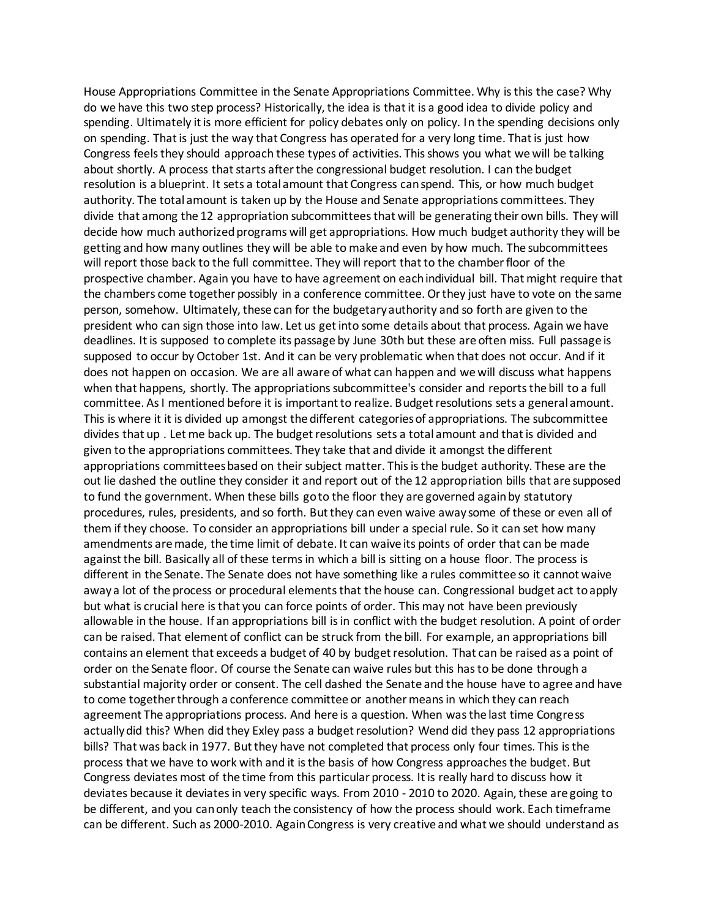House Appropriations Committee in the Senate Appropriations Committee. Why is this the case? Why do we have this two step process? Historically, the idea is that it is a good idea to divide policy and spending. Ultimately it is more efficient for policy debates only on policy. In the spending decisions only on spending. That is just the way that Congress has operated for a very long time. That is just how Congress feels they should approach these types of activities. This shows you what we will be talking about shortly. A process that starts after the congressional budget resolution. I can the budget resolution is a blueprint. It sets a total amount that Congress can spend. This, or how much budget authority. The total amount is taken up by the House and Senate appropriations committees. They divide that among the 12 appropriation subcommittees that will be generating their own bills. They will decide how much authorized programs will get appropriations. How much budget authority they will be getting and how many outlines they will be able to make and even by how much. The subcommittees will report those back to the full committee. They will report that to the chamber floor of the prospective chamber. Again you have to have agreement on each individual bill. That might require that the chambers come together possibly in a conference committee. Or they just have to vote on the same person, somehow. Ultimately, these can for the budgetary authority and so forth are given to the president who can sign those into law. Let us get into some details about that process. Again we have deadlines. It is supposed to complete its passage by June 30th but these are often miss. Full passage is supposed to occur by October 1st. And it can be very problematic when that does not occur. And if it does not happen on occasion. We are all aware of what can happen and we will discuss what happens when that happens, shortly. The appropriations subcommittee's consider and reports the bill to a full committee. As I mentioned before it is important to realize. Budget resolutions sets a general amount. This is where it it is divided up amongst the different categories of appropriations. The subcommittee divides that up . Let me back up. The budget resolutions sets a total amount and that is divided and given to the appropriations committees. They take that and divide it amongst the different appropriations committees based on their subject matter. This is the budget authority. These are the out lie dashed the outline they consider it and report out of the 12 appropriation bills that are supposed to fund the government. When these bills go to the floor they are governed again by statutory procedures, rules, presidents, and so forth. But they can even waive away some of these or even all of them if they choose. To consider an appropriations bill under a special rule. So it can set how many amendments are made, the time limit of debate. It can waive its points of order that can be made against the bill. Basically all of these terms in which a bill is sitting on a house floor. The process is different in the Senate. The Senate does not have something like a rules committee so it cannot waive away a lot of the process or procedural elements that the house can. Congressional budget act to apply but what is crucial here is that you can force points of order. This may not have been previously allowable in the house. If an appropriations bill is in conflict with the budget resolution. A point of order can be raised. That element of conflict can be struck from the bill. For example, an appropriations bill contains an element that exceeds a budget of 40 by budget resolution. That can be raised as a point of order on the Senate floor. Of course the Senate can waive rules but this has to be done through a substantial majority order or consent. The cell dashed the Senate and the house have to agree and have to come together through a conference committee or another means in which they can reach agreement The appropriations process. And here is a question. When was the last time Congress actually did this? When did they Exley pass a budget resolution? Wend did they pass 12 appropriations bills? That was back in 1977. But they have not completed that process only four times. This is the process that we have to work with and it is the basis of how Congress approaches the budget. But Congress deviates most of the time from this particular process. It is really hard to discuss how it deviates because it deviates in very specific ways. From 2010 - 2010 to 2020. Again, these are going to be different, and you can only teach the consistency of how the process should work. Each timeframe can be different. Such as 2000-2010. Again Congress is very creative and what we should understand as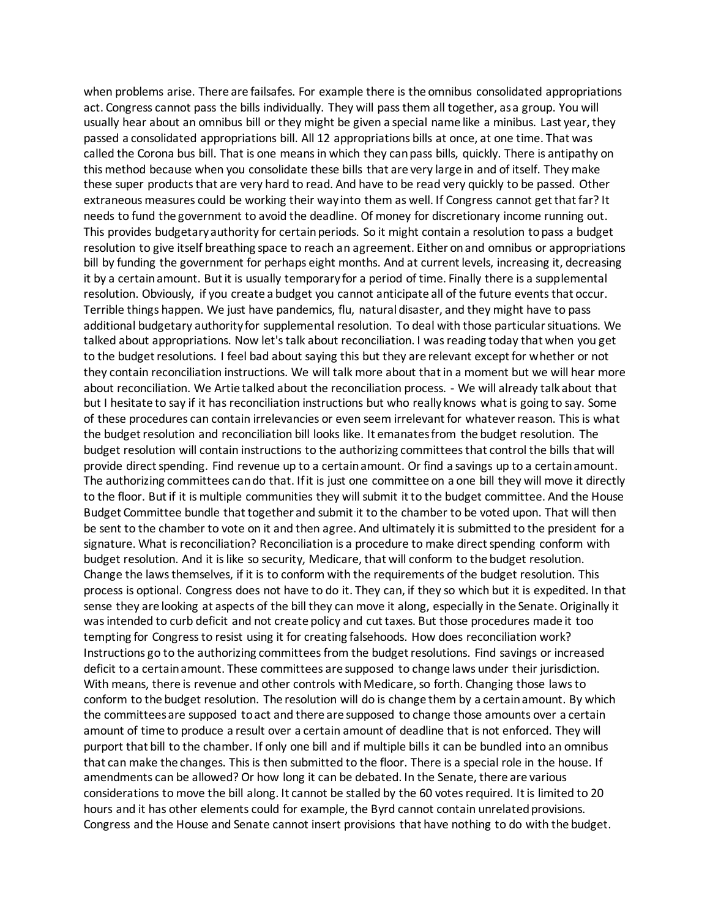when problems arise. There are failsafes. For example there is the omnibus consolidated appropriations act. Congress cannot pass the bills individually. They will pass them all together, as a group. You will usually hear about an omnibus bill or they might be given a special name like a minibus. Last year, they passed a consolidated appropriations bill. All 12 appropriations bills at once, at one time. That was called the Corona bus bill. That is one means in which they can pass bills, quickly. There is antipathy on this method because when you consolidate these bills that are very large in and of itself. They make these super products that are very hard to read. And have to be read very quickly to be passed. Other extraneous measures could be working their way into them as well. If Congress cannot get that far? It needs to fund the government to avoid the deadline. Of money for discretionary income running out. This provides budgetary authority for certain periods. So it might contain a resolution to pass a budget resolution to give itself breathing space to reach an agreement. Either on and omnibus or appropriations bill by funding the government for perhaps eight months. And at current levels, increasing it, decreasing it by a certain amount. But it is usually temporary for a period of time. Finally there is a supplemental resolution. Obviously, if you create a budget you cannot anticipate all of the future events that occur. Terrible things happen. We just have pandemics, flu, natural disaster, and they might have to pass additional budgetary authority for supplemental resolution. To deal with those particular situations. We talked about appropriations. Now let's talk about reconciliation. I was reading today that when you get to the budget resolutions. I feel bad about saying this but they are relevant except for whether or not they contain reconciliation instructions. We will talk more about that in a moment but we will hear more about reconciliation. We Artie talked about the reconciliation process. - We will already talk about that but I hesitate to say if it has reconciliation instructions but who really knows what is going to say. Some of these procedures can contain irrelevancies or even seem irrelevant for whatever reason. This is what the budget resolution and reconciliation bill looks like. It emanates from the budget resolution. The budget resolution will contain instructions to the authorizing committees that control the bills that will provide direct spending. Find revenue up to a certain amount. Or find a savings up to a certain amount. The authorizing committees can do that. If it is just one committee on a one bill they will move it directly to the floor. But if it is multiple communities they will submit it to the budget committee. And the House Budget Committee bundle that together and submit it to the chamber to be voted upon. That will then be sent to the chamber to vote on it and then agree. And ultimately it is submitted to the president for a signature. What is reconciliation? Reconciliation is a procedure to make direct spending conform with budget resolution. And it is like so security, Medicare, that will conform to the budget resolution. Change the laws themselves, if it is to conform with the requirements of the budget resolution. This process is optional. Congress does not have to do it. They can, if they so which but it is expedited. In that sense they are looking at aspects of the bill they can move it along, especially in the Senate. Originally it was intended to curb deficit and not create policy and cut taxes. But those procedures made it too tempting for Congress to resist using it for creating falsehoods. How does reconciliation work? Instructions go to the authorizing committees from the budget resolutions. Find savings or increased deficit to a certain amount. These committees are supposed to change laws under their jurisdiction. With means, there is revenue and other controls with Medicare, so forth. Changing those laws to conform to the budget resolution. The resolution will do is change them by a certain amount. By which the committees are supposed to act and there are supposed to change those amounts over a certain amount of time to produce a result over a certain amount of deadline that is not enforced. They will purport that bill to the chamber. If only one bill and if multiple bills it can be bundled into an omnibus that can make the changes. This is then submitted to the floor. There is a special role in the house. If amendments can be allowed? Or how long it can be debated. In the Senate, there are various considerations to move the bill along. It cannot be stalled by the 60 votes required. It is limited to 20 hours and it has other elements could for example, the Byrd cannot contain unrelated provisions. Congress and the House and Senate cannot insert provisions that have nothing to do with the budget.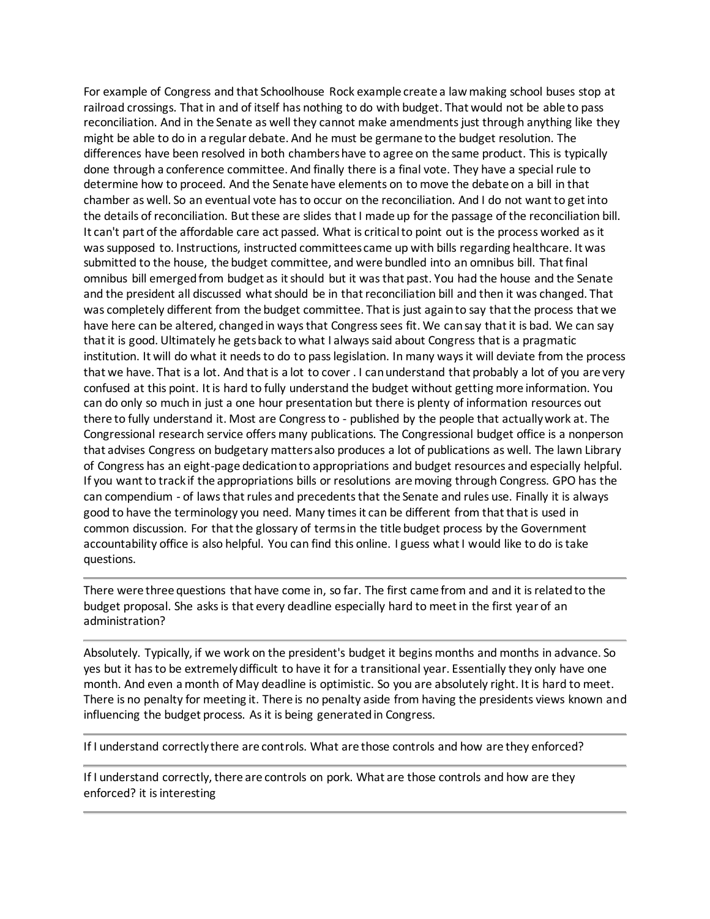For example of Congress and that Schoolhouse Rock example create a law making school buses stop at railroad crossings. That in and of itself has nothing to do with budget. That would not be able to pass reconciliation. And in the Senate as well they cannot make amendments just through anything like they might be able to do in a regular debate. And he must be germane to the budget resolution. The differences have been resolved in both chambers have to agree on the same product. This is typically done through a conference committee. And finally there is a final vote. They have a special rule to determine how to proceed. And the Senate have elements on to move the debate on a bill in that chamber as well. So an eventual vote has to occur on the reconciliation. And I do not want to get into the details of reconciliation. But these are slides that I made up for the passage of the reconciliation bill. It can't part of the affordable care act passed. What is critical to point out is the process worked as it was supposed to. Instructions, instructed committees came up with bills regarding healthcare. It was submitted to the house, the budget committee, and were bundled into an omnibus bill. That final omnibus bill emerged from budget as it should but it was that past. You had the house and the Senate and the president all discussed what should be in that reconciliation bill and then it was changed. That was completely different from the budget committee. That is just again to say that the process that we have here can be altered, changed in ways that Congress sees fit. We can say that it is bad. We can say that it is good. Ultimately he gets back to what I always said about Congress that is a pragmatic institution. It will do what it needs to do to pass legislation. In many ways it will deviate from the process that we have. That is a lot. And that is a lot to cover . I can understand that probably a lot of you are very confused at this point. It is hard to fully understand the budget without getting more information. You can do only so much in just a one hour presentation but there is plenty of information resources out there to fully understand it. Most are Congress to - published by the people that actually work at. The Congressional research service offers many publications. The Congressional budget office is a nonperson that advises Congress on budgetary matters also produces a lot of publications as well. The lawn Library of Congress has an eight-page dedication to appropriations and budget resources and especially helpful. If you want to track if the appropriations bills or resolutions are moving through Congress. GPO has the can compendium - of laws that rules and precedents that the Senate and rules use. Finally it is always good to have the terminology you need. Many times it can be different from that that is used in common discussion. For that the glossary of terms in the title budget process by the Government accountability office is also helpful. You can find this online. I guess what I would like to do is take questions.

There were three questions that have come in, so far. The first came from and and it is related to the budget proposal. She asks is that every deadline especially hard to meet in the first year of an administration?

Absolutely. Typically, if we work on the president's budget it begins months and months in advance. So yes but it has to be extremely difficult to have it for a transitional year. Essentially they only have one month. And even a month of May deadline is optimistic. So you are absolutely right. It is hard to meet. There is no penalty for meeting it. There is no penalty aside from having the presidents views known and influencing the budget process. As it is being generated in Congress.

If I understand correctly there are controls. What are those controls and how are they enforced?

If I understand correctly, there are controls on pork. What are those controls and how are they enforced? it is interesting